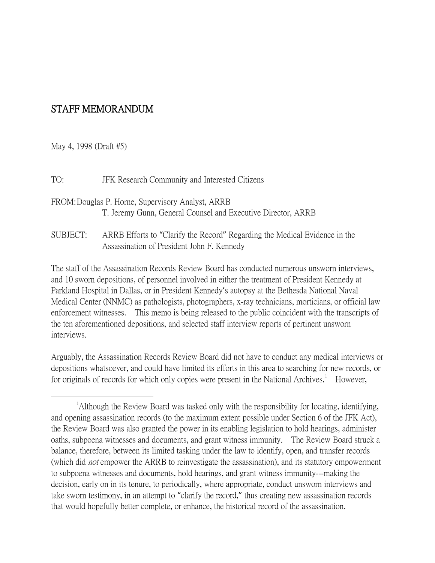## STAFF MEMORANDUM

May 4, 1998 (Draft #5)

TO: JFK Research Community and Interested Citizens

- FROM:Douglas P. Horne, Supervisory Analyst, ARRB T. Jeremy Gunn, General Counsel and Executive Director, ARRB
- SUBJECT: ARRB Efforts to "Clarify the Record" Regarding the Medical Evidence in the Assassination of President John F. Kennedy

The staff of the Assassination Records Review Board has conducted numerous unsworn interviews, and 10 sworn depositions, of personnel involved in either the treatment of President Kennedy at Parkland Hospital in Dallas, or in President Kennedy's autopsy at the Bethesda National Naval Medical Center (NNMC) as pathologists, photographers, x-ray technicians, morticians, or official law enforcement witnesses. This memo is being released to the public coincident with the transcripts of the ten aforementioned depositions, and selected staff interview reports of pertinent unsworn interviews.

Arguably, the Assassination Records Review Board did not have to conduct any medical interviews or depositions whatsoever, and could have limited its efforts in this area to searching for new records, or for originals of records for which only copies were present in the National Archives.<sup>[1](#page-0-0)</sup> However,

<span id="page-0-0"></span><sup>&</sup>lt;u>1</u> <sup>1</sup>Although the Review Board was tasked only with the responsibility for locating, identifying, and opening assassination records (to the maximum extent possible under Section 6 of the JFK Act), the Review Board was also granted the power in its enabling legislation to hold hearings, administer oaths, subpoena witnesses and documents, and grant witness immunity. The Review Board struck a balance, therefore, between its limited tasking under the law to identify, open, and transfer records (which did not empower the ARRB to reinvestigate the assassination), and its statutory empowerment to subpoena witnesses and documents, hold hearings, and grant witness immunity---making the decision, early on in its tenure, to periodically, where appropriate, conduct unsworn interviews and take sworn testimony, in an attempt to "clarify the record," thus creating new assassination records that would hopefully better complete, or enhance, the historical record of the assassination.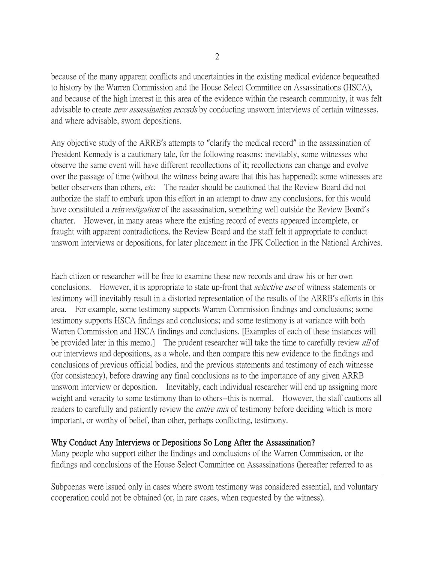because of the many apparent conflicts and uncertainties in the existing medical evidence bequeathed to history by the Warren Commission and the House Select Committee on Assassinations (HSCA), and because of the high interest in this area of the evidence within the research community, it was felt advisable to create *new assassination records* by conducting unsworn interviews of certain witnesses, and where advisable, sworn depositions.

Any objective study of the ARRB's attempts to "clarify the medical record" in the assassination of President Kennedy is a cautionary tale, for the following reasons: inevitably, some witnesses who observe the same event will have different recollections of it; recollections can change and evolve over the passage of time (without the witness being aware that this has happened); some witnesses are better observers than others, etc. The reader should be cautioned that the Review Board did not authorize the staff to embark upon this effort in an attempt to draw any conclusions, for this would have constituted a *reinvestigation* of the assassination, something well outside the Review Board's charter. However, in many areas where the existing record of events appeared incomplete, or fraught with apparent contradictions, the Review Board and the staff felt it appropriate to conduct unsworn interviews or depositions, for later placement in the JFK Collection in the National Archives.

Each citizen or researcher will be free to examine these new records and draw his or her own conclusions. However, it is appropriate to state up-front that *selective use* of witness statements or testimony will inevitably result in a distorted representation of the results of the ARRB's efforts in this area. For example, some testimony supports Warren Commission findings and conclusions; some testimony supports HSCA findings and conclusions; and some testimony is at variance with both Warren Commission and HSCA findings and conclusions. [Examples of each of these instances will be provided later in this memo.] The prudent researcher will take the time to carefully review all of our interviews and depositions, as a whole, and then compare this new evidence to the findings and conclusions of previous official bodies, and the previous statements and testimony of each witnesse (for consistency), before drawing any final conclusions as to the importance of any given ARRB unsworn interview or deposition. Inevitably, each individual researcher will end up assigning more weight and veracity to some testimony than to others--this is normal. However, the staff cautions all readers to carefully and patiently review the *entire mix* of testimony before deciding which is more important, or worthy of belief, than other, perhaps conflicting, testimony.

## Why Conduct Any Interviews or Depositions So Long After the Assassination?

 $\overline{a}$ 

Many people who support either the findings and conclusions of the Warren Commission, or the findings and conclusions of the House Select Committee on Assassinations (hereafter referred to as

Subpoenas were issued only in cases where sworn testimony was considered essential, and voluntary cooperation could not be obtained (or, in rare cases, when requested by the witness).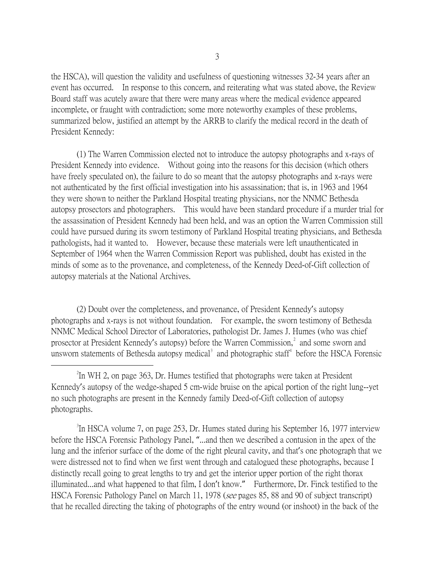the HSCA), will question the validity and usefulness of questioning witnesses 32-34 years after an event has occurred. In response to this concern, and reiterating what was stated above, the Review Board staff was acutely aware that there were many areas where the medical evidence appeared incomplete, or fraught with contradiction; some more noteworthy examples of these problems, summarized below, justified an attempt by the ARRB to clarify the medical record in the death of President Kennedy:

(1) The Warren Commission elected not to introduce the autopsy photographs and x-rays of President Kennedy into evidence. Without going into the reasons for this decision (which others have freely speculated on), the failure to do so meant that the autopsy photographs and x-rays were not authenticated by the first official investigation into his assassination; that is, in 1963 and 1964 they were shown to neither the Parkland Hospital treating physicians, nor the NNMC Bethesda autopsy prosectors and photographers. This would have been standard procedure if a murder trial for the assassination of President Kennedy had been held, and was an option the Warren Commission still could have pursued during its sworn testimony of Parkland Hospital treating physicians, and Bethesda pathologists, had it wanted to. However, because these materials were left unauthenticated in September of 1964 when the Warren Commission Report was published, doubt has existed in the minds of some as to the provenance, and completeness, of the Kennedy Deed-of-Gift collection of autopsy materials at the National Archives.

<span id="page-2-2"></span>(2) Doubt over the completeness, and provenance, of President Kennedy's autopsy photographs and x-rays is not without foundation. For example, the sworn testimony of Bethesda NNMC Medical School Director of Laboratories, pathologist Dr. James J. Humes (who was chief prosector at President Kennedy's autopsy) before the Warren Commission,<sup>[2](#page-2-0)</sup> and some sworn and unsworn statements of Bethesda autopsy medical<sup>[3](#page-2-1)</sup> and photographic staff<sup>[4](#page-2-2)</sup> before the HSCA Forensic

<span id="page-2-1"></span><sup>3</sup>In HSCA volume 7, on page 253, Dr. Humes stated during his September 16, 1977 interview before the HSCA Forensic Pathology Panel, "...and then we described a contusion in the apex of the lung and the inferior surface of the dome of the right pleural cavity, and that's one photograph that we were distressed not to find when we first went through and catalogued these photographs, because I distinctly recall going to great lengths to try and get the interior upper portion of the right thorax illuminated...and what happened to that film, I don't know." Furthermore, Dr. Finck testified to the HSCA Forensic Pathology Panel on March 11, 1978 (*see* pages 85, 88 and 90 of subject transcript) that he recalled directing the taking of photographs of the entry wound (or inshoot) in the back of the

<span id="page-2-0"></span> $\overline{\phantom{a}}$   $\overline{\phantom{a}}$   $\overline{\phantom{a}}$   $\overline{\phantom{a}}$  $\rm{H}$  WH 2, on page 363, Dr. Humes testified that photographs were taken at President Kennedy's autopsy of the wedge-shaped 5 cm-wide bruise on the apical portion of the right lung--yet no such photographs are present in the Kennedy family Deed-of-Gift collection of autopsy photographs.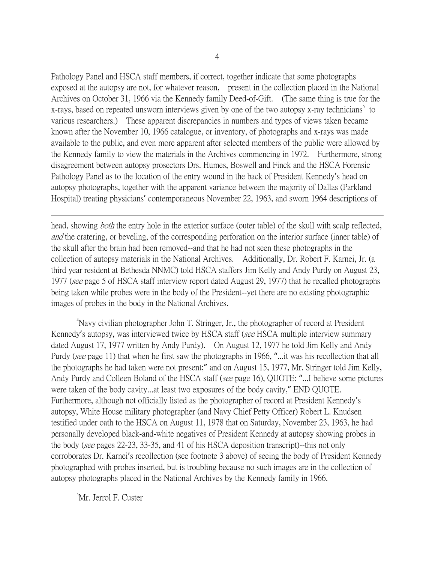Pathology Panel and HSCA staff members, if correct, together indicate that some photographs exposed at the autopsy are not, for whatever reason, present in the collection placed in the National Archives on October 31, 1966 via the Kennedy family Deed-of-Gift. (The same thing is true for the x-rays, based on repeated unsworn interviews given by one of the two autopsy x-ray technicians<sup>[5](#page-3-0)</sup> to various researchers.) These apparent discrepancies in numbers and types of views taken became known after the November 10, 1966 catalogue, or inventory, of photographs and x-rays was made available to the public, and even more apparent after selected members of the public were allowed by the Kennedy family to view the materials in the Archives commencing in 1972. Furthermore, strong disagreement between autopsy prosectors Drs. Humes, Boswell and Finck and the HSCA Forensic Pathology Panel as to the location of the entry wound in the back of President Kennedy's head on autopsy photographs, together with the apparent variance between the majority of Dallas (Parkland Hospital) treating physicians' contemporaneous November 22, 1963, and sworn 1964 descriptions of

head, showing *both* the entry hole in the exterior surface (outer table) of the skull with scalp reflected, and the cratering, or beveling, of the corresponding perforation on the interior surface (inner table) of the skull after the brain had been removed--and that he had not seen these photographs in the collection of autopsy materials in the National Archives. Additionally, Dr. Robert F. Karnei, Jr. (a third year resident at Bethesda NNMC) told HSCA staffers Jim Kelly and Andy Purdy on August 23, 1977 (see page 5 of HSCA staff interview report dated August 29, 1977) that he recalled photographs being taken while probes were in the body of the President--yet there are no existing photographic images of probes in the body in the National Archives.

4 Navy civilian photographer John T. Stringer, Jr., the photographer of record at President Kennedy's autopsy, was interviewed twice by HSCA staff (see HSCA multiple interview summary dated August 17, 1977 written by Andy Purdy). On August 12, 1977 he told Jim Kelly and Andy Purdy (see page 11) that when he first saw the photographs in 1966, "...it was his recollection that all the photographs he had taken were not present;" and on August 15, 1977, Mr. Stringer told Jim Kelly, Andy Purdy and Colleen Boland of the HSCA staff (see page 16), QUOTE: "...I believe some pictures were taken of the body cavity...at least two exposures of the body cavity," END QUOTE. Furthermore, although not officially listed as the photographer of record at President Kennedy's autopsy, White House military photographer (and Navy Chief Petty Officer) Robert L. Knudsen testified under oath to the HSCA on August 11, 1978 that on Saturday, November 23, 1963, he had personally developed black-and-white negatives of President Kennedy at autopsy showing probes in the body (see pages 22-23, 33-35, and 41 of his HSCA deposition transcript)--this not only corroborates Dr. Karnei's recollection (see footnote 3 above) of seeing the body of President Kennedy photographed with probes inserted, but is troubling because no such images are in the collection of autopsy photographs placed in the National Archives by the Kennedy family in 1966.

<span id="page-3-0"></span>5 Mr. Jerrol F. Custer

 $\overline{a}$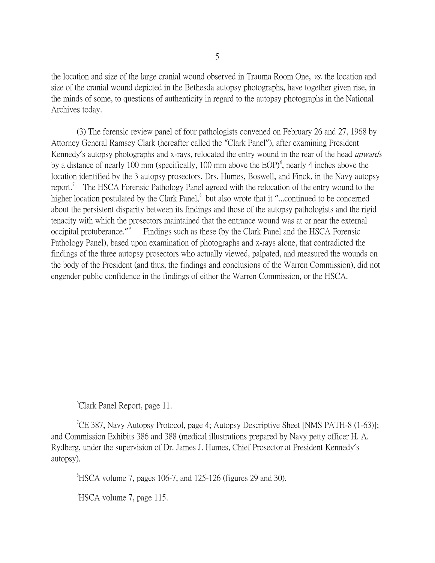the location and size of the large cranial wound observed in Trauma Room One, vs. the location and size of the cranial wound depicted in the Bethesda autopsy photographs, have together given rise, in the minds of some, to questions of authenticity in regard to the autopsy photographs in the National Archives today.

(3) The forensic review panel of four pathologists convened on February 26 and 27, 1968 by Attorney General Ramsey Clark (hereafter called the "Clark Panel"), after examining President Kennedy's autopsy photographs and x-rays, relocated the entry wound in the rear of the head *upwards* by a distance of nearly 100 mm (specifically, 100 mm above the EOP)<sup>[6](#page-4-0)</sup>, nearly 4 inches above the location identified by the 3 autopsy prosectors, Drs. Humes, Boswell, and Finck, in the Navy autopsy report.<sup>[7](#page-4-1)</sup> The HSCA Forensic Pathology Panel agreed with the relocation of the entry wound to the higher location postulated by the Clark Panel,<sup>[8](#page-4-2)</sup> but also wrote that it "...continued to be concerned about the persistent disparity between its findings and those of the autopsy pathologists and the rigid tenacity with which the prosectors maintained that the entrance wound was at or near the external occipital protuberance."<sup>[9](#page-4-3)</sup> Findings such as these (by the Clark Panel and the HSCA Forensic Pathology Panel), based upon examination of photographs and x-rays alone, that contradicted the findings of the three autopsy prosectors who actually viewed, palpated, and measured the wounds on the body of the President (and thus, the findings and conclusions of the Warren Commission), did not engender public confidence in the findings of either the Warren Commission, or the HSCA.

<span id="page-4-0"></span> $\overline{\phantom{a}}$ Clark Panel Report, page 11.

<span id="page-4-2"></span><span id="page-4-1"></span><sup>7</sup>CE 387, Navy Autopsy Protocol, page 4; Autopsy Descriptive Sheet [NMS PATH-8  $(1-63)$ ]; and Commission Exhibits 386 and 388 (medical illustrations prepared by Navy petty officer H. A. Rydberg, under the supervision of Dr. James J. Humes, Chief Prosector at President Kennedy's autopsy).

 $\mathrm{R}^8$ HSCA volume 7, pages 106-7, and 125-126 (figures 29 and 30).

<span id="page-4-3"></span><sup>9</sup>HSCA volume 7, page 115.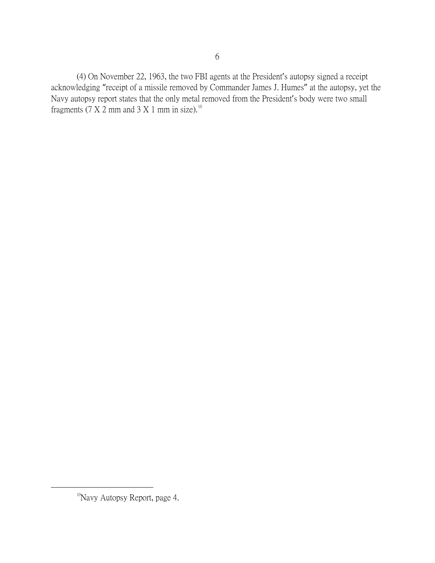(4) On November 22, 1963, the two FBI agents at the President's autopsy signed a receipt acknowledging "receipt of a missile removed by Commander James J. Humes" at the autopsy, yet the Navy autopsy report states that the only metal removed from the President's body were two small fragments (7 X 2 mm and 3 X 1 mm in size).<sup>[10](#page-5-0)</sup>

<span id="page-5-0"></span><sup>&</sup>lt;sup>10</sup>Navy Autopsy Report, page 4.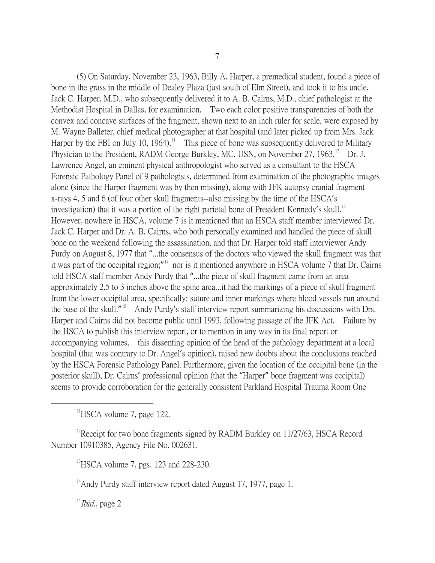(5) On Saturday, November 23, 1963, Billy A. Harper, a premedical student, found a piece of bone in the grass in the middle of Dealey Plaza (just south of Elm Street), and took it to his uncle, Jack C. Harper, M.D., who subsequently delivered it to A. B. Cairns, M.D., chief pathologist at the Methodist Hospital in Dallas, for examination. Two each color positive transparencies of both the convex and concave surfaces of the fragment, shown next to an inch ruler for scale, were exposed by M. Wayne Balleter, chief medical photographer at that hospital (and later picked up from Mrs. Jack Harper by the FBI on July 10, 1964).<sup>[11](#page-6-0)</sup> This piece of bone was subsequently delivered to Military Physician to the President, RADM George Burkley, MC, USN, on November 27, 1963.<sup>[12](#page-6-1)</sup> Dr. J. Lawrence Angel, an eminent physical anthropologist who served as a consultant to the HSCA Forensic Pathology Panel of 9 pathologists, determined from examination of the photographic images alone (since the Harper fragment was by then missing), along with JFK autopsy cranial fragment x-rays 4, 5 and 6 (of four other skull fragments--also missing by the time of the HSCA's investigation) that it was a portion of the right parietal bone of President Kennedy's skull.<sup>[13](#page-6-2)</sup> However, nowhere in HSCA, volume 7 is it mentioned that an HSCA staff member interviewed Dr. Jack C. Harper and Dr. A. B. Cairns, who both personally examined and handled the piece of skull bone on the weekend following the assassination, and that Dr. Harper told staff interviewer Andy Purdy on August 8, 1977 that "...the consensus of the doctors who viewed the skull fragment was that it was part of the occipital region;"<sup>[14](#page-6-3)</sup> nor is it mentioned anywhere in HSCA volume 7 that Dr. Cairns told HSCA staff member Andy Purdy that "...the piece of skull fragment came from an area approximately 2.5 to 3 inches above the spine area...it had the markings of a piece of skull fragment from the lower occipital area, specifically: suture and inner markings where blood vessels run around the base of the skull."<sup>[15](#page-6-4)</sup> Andy Purdy's staff interview report summarizing his discussions with Drs. Harper and Cairns did not become public until 1993, following passage of the JFK Act. Failure by the HSCA to publish this interview report, or to mention in any way in its final report or accompanying volumes, this dissenting opinion of the head of the pathology department at a local hospital (that was contrary to Dr. Angel's opinion), raised new doubts about the conclusions reached by the HSCA Forensic Pathology Panel. Furthermore, given the location of the occipital bone (in the posterior skull), Dr. Cairns' professional opinion (that the "Harper" bone fragment was occipital) seems to provide corroboration for the generally consistent Parkland Hospital Trauma Room One

 $\rm ^{11}HSCA$  volume 7, page 122.

<span id="page-6-3"></span><span id="page-6-2"></span><span id="page-6-1"></span><span id="page-6-0"></span><sup>12</sup>Receipt for two bone fragments signed by RADM Burkley on 11/27/63, HSCA Record Number 10910385, Agency File No. 002631.

 $^{13}$ HSCA volume 7, pgs. 123 and 228-230.

<sup>14</sup>Andy Purdy staff interview report dated August 17, 1977, page 1.

<span id="page-6-4"></span> $15$ *Ibid.*, page 2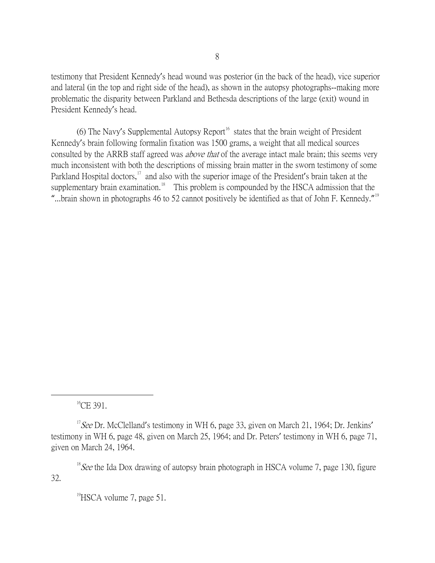testimony that President Kennedy's head wound was posterior (in the back of the head), vice superior and lateral (in the top and right side of the head), as shown in the autopsy photographs--making more problematic the disparity between Parkland and Bethesda descriptions of the large (exit) wound in President Kennedy's head.

(6) The Navy's Supplemental Autopsy Report<sup>[16](#page-7-0)</sup> states that the brain weight of President Kennedy's brain following formalin fixation was 1500 grams, a weight that all medical sources consulted by the ARRB staff agreed was *above that* of the average intact male brain; this seems very much inconsistent with both the descriptions of missing brain matter in the sworn testimony of some Parkland Hospital doctors,<sup>[17](#page-7-1)</sup> and also with the superior image of the President's brain taken at the supplementary brain examination.<sup>[18](#page-7-2)</sup> This problem is compounded by the HSCA admission that the "...brain shown in photographs 46 to 52 cannot positively be identified as that of John F. Kennedy."<sup>[19](#page-7-3)</sup>

 $^{16}$ CE 391.

 $^{19}$ HSCA volume 7, page 51.

<span id="page-7-1"></span><span id="page-7-0"></span><sup>&</sup>lt;sup>17</sup>See Dr. McClelland's testimony in WH 6, page 33, given on March 21, 1964; Dr. Jenkins' testimony in WH 6, page 48, given on March 25, 1964; and Dr. Peters' testimony in WH 6, page 71, given on March 24, 1964.

<span id="page-7-3"></span><span id="page-7-2"></span><sup>&</sup>lt;sup>18</sup> See the Ida Dox drawing of autopsy brain photograph in HSCA volume 7, page 130, figure 32.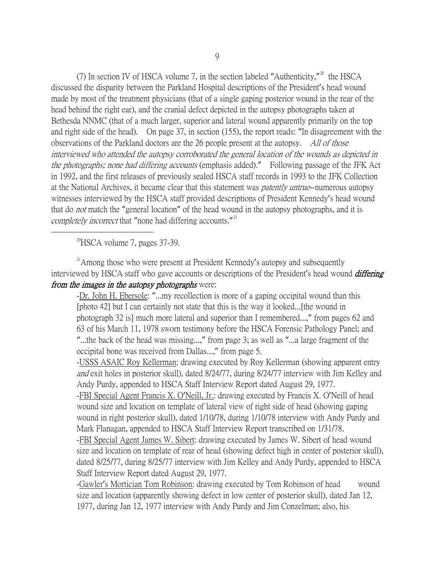(7) In section IV of HSCA volume 7, in the section labeled "Authenticity,"<sup>[20](#page-8-0)</sup> the HSCA discussed the disparity between the Parkland Hospital descriptions of the President's head wound made by most of the treatment physicians (that of a single gaping posterior wound in the rear of the head behind the right ear), and the cranial defect depicted in the autopsy photographs taken at Bethesda NNMC (that of a much larger, superior and lateral wound apparently primarily on the top and right side of the head). On page 37, in section (155), the report reads: "In disagreement with the observations of the Parkland doctors are the 26 people present at the autopsy. All of those interviewed who attended the autopsy corroborated the general location of the wounds as depicted in the photographs; none had differing accounts (emphasis added)." Following passage of the JFK Act in 1992, and the first releases of previously sealed HSCA staff records in 1993 to the JFK Collection at the National Archives, it became clear that this statement was *patently untrue*--numerous autopsy witnesses interviewed by the HSCA staff provided descriptions of President Kennedy's head wound that do *not* match the "general location" of the head wound in the autopsy photographs, and it is completely incorrect that "none had differing accounts."<sup>[21](#page-8-1)</sup>

 $^{20}$ HSCA volume 7, pages 37-39.

<span id="page-8-1"></span><span id="page-8-0"></span> $21$ Among those who were present at President Kennedy's autopsy and subsequently interviewed by HSCA staff who gave accounts or descriptions of the President's head wound *differing* from the images in the autopsy photographs were:

-Dr. John H. Ebersole: "...my recollection is more of a gaping occipital wound than this [photo 42] but I can certainly not state that this is the way it looked...[the wound in photograph 32 is] much more lateral and superior than I remembered...," from pages 62 and 63 of his March 11, 1978 sworn testimony before the HSCA Forensic Pathology Panel; and "...the back of the head was missing...," from page 3; as well as "...a large fragment of the occipital bone was received from Dallas...," from page 5.

-USSS ASAIC Roy Kellerman: drawing executed by Roy Kellerman (showing apparent entry and exit holes in posterior skull), dated 8/24/77, during 8/24/77 interview with Jim Kelley and Andy Purdy, appended to HSCA Staff Interview Report dated August 29, 1977.

-FBI Special Agent Francis X. O'Neill, Jr.: drawing executed by Francis X. O'Neill of head wound size and location on template of lateral view of right side of head (showing gaping wound in right posterior skull), dated 1/10/78, during 1/10/78 interview with Andy Purdy and Mark Flanagan, appended to HSCA Staff Interview Report transcribed on 1/31/78.

-FBI Special Agent James W. Sibert: drawing executed by James W. Sibert of head wound size and location on template of rear of head (showing defect high in center of posterior skull), dated 8/25/77, during 8/25/77 interview with Jim Kelley and Andy Purdy, appended to HSCA Staff Interview Report dated August 29, 1977.

-Gawler's Mortician Tom Robinson: drawing executed by Tom Robinson of head wound size and location (apparently showing defect in low center of posterior skull), dated Jan 12, 1977, during Jan 12, 1977 interview with Andy Purdy and Jim Conzelman; also, his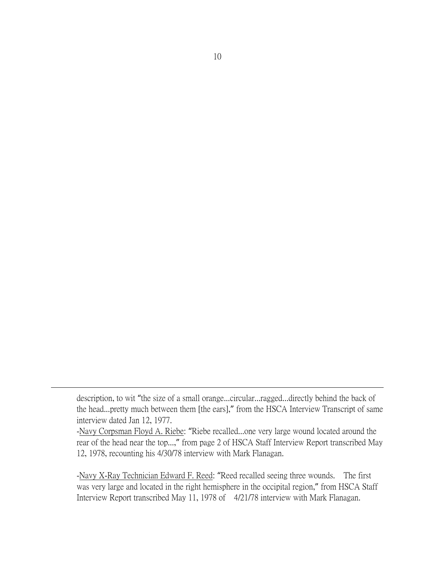description, to wit "the size of a small orange...circular...ragged...directly behind the back of the head...pretty much between them [the ears]," from the HSCA Interview Transcript of same interview dated Jan 12, 1977.

 $\overline{a}$ 

-Navy Corpsman Floyd A. Riebe: "Riebe recalled...one very large wound located around the rear of the head near the top...," from page 2 of HSCA Staff Interview Report transcribed May 12, 1978, recounting his 4/30/78 interview with Mark Flanagan.

-Navy X-Ray Technician Edward F. Reed: "Reed recalled seeing three wounds. The first was very large and located in the right hemisphere in the occipital region," from HSCA Staff Interview Report transcribed May 11, 1978 of 4/21/78 interview with Mark Flanagan.